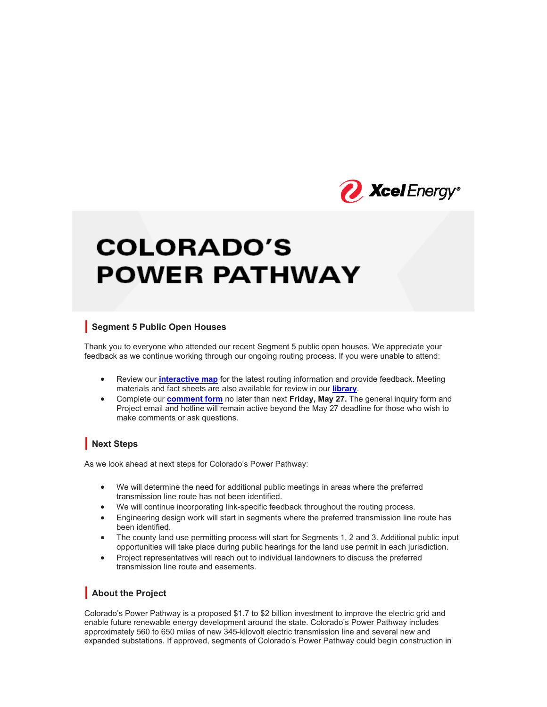

# **COLORADO'S POWER PATHWAY**

## **| Segment 5 Public Open Houses**

Thank you to everyone who attended our recent Segment 5 public open houses. We appreciate your feedback as we continue working through our ongoing routing process. If you were unable to attend:

- Review our **interactive map** for the latest routing information and provide feedback. Meeting materials and fact sheets are also available for review in our **library**.
- Complete our **comment form** no later than next **Friday, May 27.** The general inquiry form and Project email and hotline will remain active beyond the May 27 deadline for those who wish to make comments or ask questions.

## **| Next Steps**

As we look ahead at next steps for Colorado's Power Pathway:

- We will determine the need for additional public meetings in areas where the preferred transmission line route has not been identified.
- We will continue incorporating link-specific feedback throughout the routing process.
- Engineering design work will start in segments where the preferred transmission line route has been identified.
- The county land use permitting process will start for Segments 1, 2 and 3. Additional public input opportunities will take place during public hearings for the land use permit in each jurisdiction.
- Project representatives will reach out to individual landowners to discuss the preferred transmission line route and easements.

## **| About the Project**

Colorado's Power Pathway is a proposed \$1.7 to \$2 billion investment to improve the electric grid and enable future renewable energy development around the state. Colorado's Power Pathway includes approximately 560 to 650 miles of new 345-kilovolt electric transmission line and several new and expanded substations. If approved, segments of Colorado's Power Pathway could begin construction in